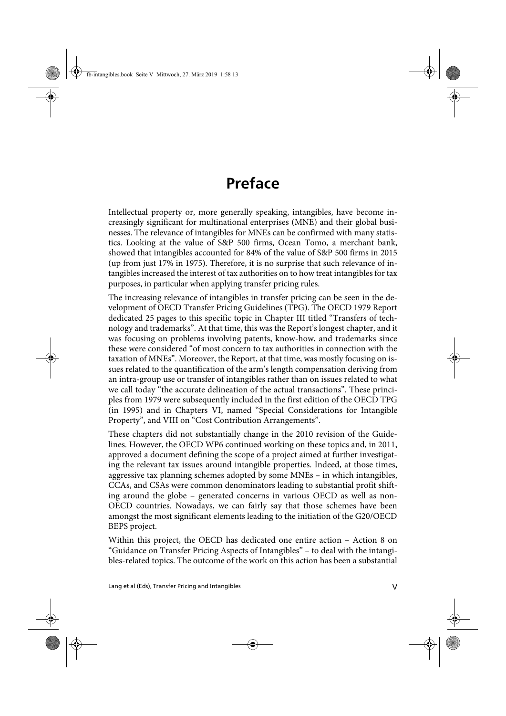## **Preface**

Intellectual property or, more generally speaking, intangibles, have become increasingly significant for multinational enterprises (MNE) and their global businesses. The relevance of intangibles for MNEs can be confirmed with many statistics. Looking at the value of S&P 500 firms, Ocean Tomo, a merchant bank, showed that intangibles accounted for 84% of the value of S&P 500 firms in 2015 (up from just 17% in 1975). Therefore, it is no surprise that such relevance of intangibles increased the interest of tax authorities on to how treat intangibles for tax purposes, in particular when applying transfer pricing rules.

The increasing relevance of intangibles in transfer pricing can be seen in the development of OECD Transfer Pricing Guidelines (TPG). The OECD 1979 Report dedicated 25 pages to this specific topic in Chapter III titled "Transfers of technology and trademarks". At that time, this was the Report's longest chapter, and it was focusing on problems involving patents, know-how, and trademarks since these were considered "of most concern to tax authorities in connection with the taxation of MNEs". Moreover, the Report, at that time, was mostly focusing on issues related to the quantification of the arm's length compensation deriving from an intra-group use or transfer of intangibles rather than on issues related to what we call today "the accurate delineation of the actual transactions". These principles from 1979 were subsequently included in the first edition of the OECD TPG (in 1995) and in Chapters VI, named "Special Considerations for Intangible Property", and VIII on "Cost Contribution Arrangements".

These chapters did not substantially change in the 2010 revision of the Guidelines. However, the OECD WP6 continued working on these topics and, in 2011, approved a document defining the scope of a project aimed at further investigating the relevant tax issues around intangible properties. Indeed, at those times, aggressive tax planning schemes adopted by some MNEs – in which intangibles, CCAs, and CSAs were common denominators leading to substantial profit shifting around the globe – generated concerns in various OECD as well as non-OECD countries. Nowadays, we can fairly say that those schemes have been amongst the most significant elements leading to the initiation of the G20/OECD BEPS project.

Within this project, the OECD has dedicated one entire action – Action 8 on "Guidance on Transfer Pricing Aspects of Intangibles" – to deal with the intangibles-related topics. The outcome of the work on this action has been a substantial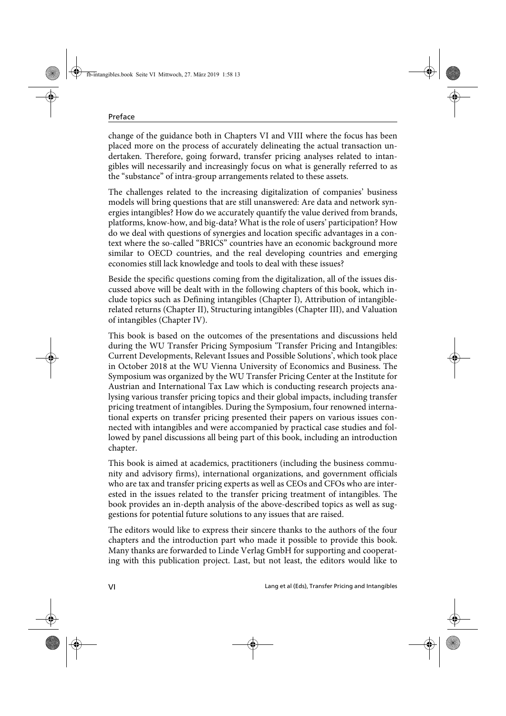change of the guidance both in Chapters VI and VIII where the focus has been placed more on the process of accurately delineating the actual transaction undertaken. Therefore, going forward, transfer pricing analyses related to intangibles will necessarily and increasingly focus on what is generally referred to as the "substance" of intra-group arrangements related to these assets.

The challenges related to the increasing digitalization of companies' business models will bring questions that are still unanswered: Are data and network synergies intangibles? How do we accurately quantify the value derived from brands, platforms, know-how, and big-data? What is the role of users' participation? How do we deal with questions of synergies and location specific advantages in a context where the so-called "BRICS" countries have an economic background more similar to OECD countries, and the real developing countries and emerging economies still lack knowledge and tools to deal with these issues?

Beside the specific questions coming from the digitalization, all of the issues discussed above will be dealt with in the following chapters of this book, which include topics such as Defining intangibles (Chapter I), Attribution of intangiblerelated returns (Chapter II), Structuring intangibles (Chapter III), and Valuation of intangibles (Chapter IV).

This book is based on the outcomes of the presentations and discussions held during the WU Transfer Pricing Symposium 'Transfer Pricing and Intangibles: Current Developments, Relevant Issues and Possible Solutions', which took place in October 2018 at the WU Vienna University of Economics and Business. The Symposium was organized by the WU Transfer Pricing Center at the Institute for Austrian and International Tax Law which is conducting research projects analysing various transfer pricing topics and their global impacts, including transfer pricing treatment of intangibles. During the Symposium, four renowned international experts on transfer pricing presented their papers on various issues connected with intangibles and were accompanied by practical case studies and followed by panel discussions all being part of this book, including an introduction chapter.

This book is aimed at academics, practitioners (including the business community and advisory firms), international organizations, and government officials who are tax and transfer pricing experts as well as CEOs and CFOs who are interested in the issues related to the transfer pricing treatment of intangibles. The book provides an in-depth analysis of the above-described topics as well as suggestions for potential future solutions to any issues that are raised.

The editors would like to express their sincere thanks to the authors of the four chapters and the introduction part who made it possible to provide this book. Many thanks are forwarded to Linde Verlag GmbH for supporting and cooperating with this publication project. Last, but not least, the editors would like to